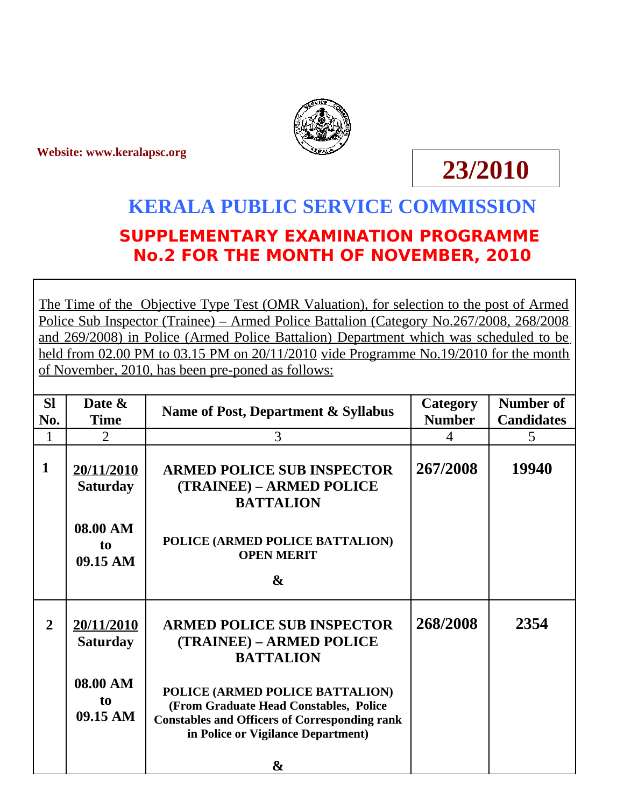**Website: www.keralapsc.org**



## **23/2010**

## **KERALA PUBLIC SERVICE COMMISSION SUPPLEMENTARY EXAMINATION PROGRAMME No.2 FOR THE MONTH OF NOVEMBER, 2010**

The Time of the Objective Type Test (OMR Valuation), for selection to the post of Armed Police Sub Inspector (Trainee) – Armed Police Battalion (Category No.267/2008, 268/2008 and 269/2008) in Police (Armed Police Battalion) Department which was scheduled to be held from 02.00 PM to 03.15 PM on 20/11/2010 vide Programme No.19/2010 for the month of November, 2010, has been pre-poned as follows:

| <b>SI</b><br>No.<br>$\mathbf{1}$ | Date &<br><b>Time</b><br>$\overline{2}$                                 | Name of Post, Department & Syllabus<br>3                                                                                                                                                                                                                          | Category<br><b>Number</b><br>4 | <b>Number of</b><br><b>Candidates</b><br>5 |
|----------------------------------|-------------------------------------------------------------------------|-------------------------------------------------------------------------------------------------------------------------------------------------------------------------------------------------------------------------------------------------------------------|--------------------------------|--------------------------------------------|
| $\mathbf{1}$                     | 20/11/2010<br><b>Saturday</b><br>08.00 AM<br>to<br>09.15 AM             | <b>ARMED POLICE SUB INSPECTOR</b><br>(TRAINEE) – ARMED POLICE<br><b>BATTALION</b><br>POLICE (ARMED POLICE BATTALION)<br><b>OPEN MERIT</b><br>$\mathbf{r}$                                                                                                         | 267/2008                       | 19940                                      |
| $\overline{2}$                   | 20/11/2010<br><b>Saturday</b><br>08.00 AM<br>t <sub>0</sub><br>09.15 AM | <b>ARMED POLICE SUB INSPECTOR</b><br>(TRAINEE) – ARMED POLICE<br><b>BATTALION</b><br>POLICE (ARMED POLICE BATTALION)<br>(From Graduate Head Constables, Police<br><b>Constables and Officers of Corresponding rank</b><br>in Police or Vigilance Department)<br>& | 268/2008                       | 2354                                       |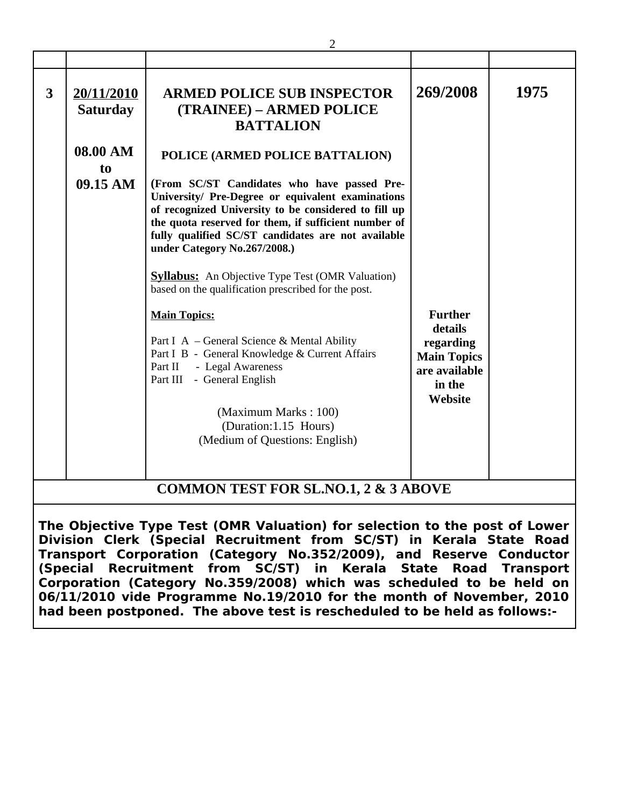| 3                                                                                                                                                                                                                                                                                                                                                                                                                                                                                                                                                                                                             | 20/11/2010<br><b>Saturday</b> | <b>ARMED POLICE SUB INSPECTOR</b><br>(TRAINEE) – ARMED POLICE<br><b>BATTALION</b>                                                                                                                                                                                                                                                                                                                    | 269/2008                                                                                           | 1975 |  |  |  |
|---------------------------------------------------------------------------------------------------------------------------------------------------------------------------------------------------------------------------------------------------------------------------------------------------------------------------------------------------------------------------------------------------------------------------------------------------------------------------------------------------------------------------------------------------------------------------------------------------------------|-------------------------------|------------------------------------------------------------------------------------------------------------------------------------------------------------------------------------------------------------------------------------------------------------------------------------------------------------------------------------------------------------------------------------------------------|----------------------------------------------------------------------------------------------------|------|--|--|--|
|                                                                                                                                                                                                                                                                                                                                                                                                                                                                                                                                                                                                               | 08.00 AM<br>to<br>09.15 AM    | POLICE (ARMED POLICE BATTALION)<br>(From SC/ST Candidates who have passed Pre-<br>University/ Pre-Degree or equivalent examinations<br>of recognized University to be considered to fill up<br>the quota reserved for them, if sufficient number of<br>fully qualified SC/ST candidates are not available<br>under Category No.267/2008.)<br><b>Syllabus:</b> An Objective Type Test (OMR Valuation) |                                                                                                    |      |  |  |  |
|                                                                                                                                                                                                                                                                                                                                                                                                                                                                                                                                                                                                               |                               | based on the qualification prescribed for the post.<br><b>Main Topics:</b><br>Part I A - General Science & Mental Ability<br>Part I B - General Knowledge & Current Affairs<br>- Legal Awareness<br>Part II<br>Part III - General English<br>(Maximum Marks: 100)<br>(Duration:1.15 Hours)<br>(Medium of Questions: English)                                                                         | <b>Further</b><br>details<br>regarding<br><b>Main Topics</b><br>are available<br>in the<br>Website |      |  |  |  |
| <b>COMMON TEST FOR SL.NO.1, 2 &amp; 3 ABOVE</b><br>The Objective Type Test (OMR Valuation) for selection to the post of Lower<br>Division Clerk (Special Recruitment from SC/ST) in Kerala State Road<br>Transport Corporation (Category No.352/2009), and Reserve Conductor<br>Recruitment from SC/ST) in Kerala<br>(Special<br><b>Road</b><br><b>State</b><br><b>Transport</b><br>Corporation (Category No.359/2008) which was scheduled to be held on<br>06/11/2010 vide Programme No.19/2010 for the month of November, 2010<br>had been postponed. The above test is rescheduled to be held as follows:- |                               |                                                                                                                                                                                                                                                                                                                                                                                                      |                                                                                                    |      |  |  |  |